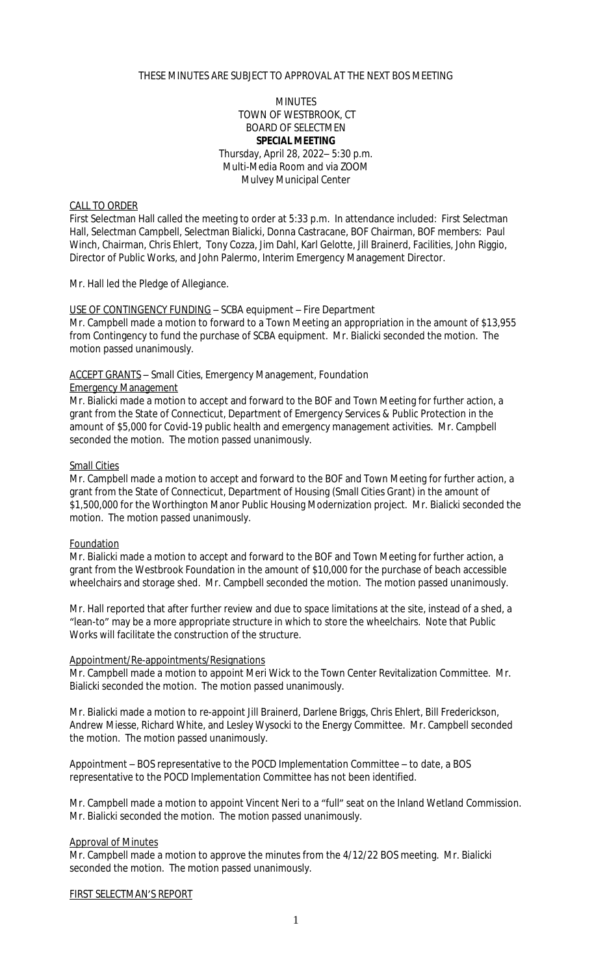## THESE MINUTES ARE SUBJECT TO APPROVAL AT THE NEXT BOS MEETING

## **MINUTES** TOWN OF WESTBROOK, CT BOARD OF SELECTMEN **SPECIAL MEETING** Thursday, April 28, 2022– 5:30 p.m. Multi-Media Room and via ZOOM Mulvey Municipal Center

# CALL TO ORDER

First Selectman Hall called the meeting to order at 5:33 p.m. In attendance included: First Selectman Hall, Selectman Campbell, Selectman Bialicki, Donna Castracane, BOF Chairman, BOF members: Paul Winch, Chairman, Chris Ehlert, Tony Cozza, Jim Dahl, Karl Gelotte, Jill Brainerd, Facilities, John Riggio, Director of Public Works, and John Palermo, Interim Emergency Management Director.

Mr. Hall led the Pledge of Allegiance.

## USE OF CONTINGENCY FUNDING – SCBA equipment – Fire Department

Mr. Campbell made a motion to forward to a Town Meeting an appropriation in the amount of \$13,955 from Contingency to fund the purchase of SCBA equipment. Mr. Bialicki seconded the motion. The motion passed unanimously.

### ACCEPT GRANTS – Small Cities, Emergency Management, Foundation

#### Emergency Management

Mr. Bialicki made a motion to accept and forward to the BOF and Town Meeting for further action, a grant from the State of Connecticut, Department of Emergency Services & Public Protection in the amount of \$5,000 for Covid-19 public health and emergency management activities. Mr. Campbell seconded the motion. The motion passed unanimously.

#### **Small Cities**

Mr. Campbell made a motion to accept and forward to the BOF and Town Meeting for further action, a grant from the State of Connecticut, Department of Housing (Small Cities Grant) in the amount of \$1,500,000 for the Worthington Manor Public Housing Modernization project. Mr. Bialicki seconded the motion. The motion passed unanimously.

#### Foundation

Mr. Bialicki made a motion to accept and forward to the BOF and Town Meeting for further action, a grant from the Westbrook Foundation in the amount of \$10,000 for the purchase of beach accessible wheelchairs and storage shed. Mr. Campbell seconded the motion. The motion passed unanimously.

Mr. Hall reported that after further review and due to space limitations at the site, instead of a shed, a "lean-to" may be a more appropriate structure in which to store the wheelchairs. Note that Public Works will facilitate the construction of the structure.

### Appointment/Re-appointments/Resignations

Mr. Campbell made a motion to appoint Meri Wick to the Town Center Revitalization Committee. Mr. Bialicki seconded the motion. The motion passed unanimously.

Mr. Bialicki made a motion to re-appoint Jill Brainerd, Darlene Briggs, Chris Ehlert, Bill Frederickson, Andrew Miesse, Richard White, and Lesley Wysocki to the Energy Committee. Mr. Campbell seconded the motion. The motion passed unanimously.

Appointment – BOS representative to the POCD Implementation Committee – to date, a BOS representative to the POCD Implementation Committee has not been identified.

Mr. Campbell made a motion to appoint Vincent Neri to a "full" seat on the Inland Wetland Commission. Mr. Bialicki seconded the motion. The motion passed unanimously.

### Approval of Minutes

Mr. Campbell made a motion to approve the minutes from the 4/12/22 BOS meeting. Mr. Bialicki seconded the motion. The motion passed unanimously.

#### FIRST SELECTMAN'S REPORT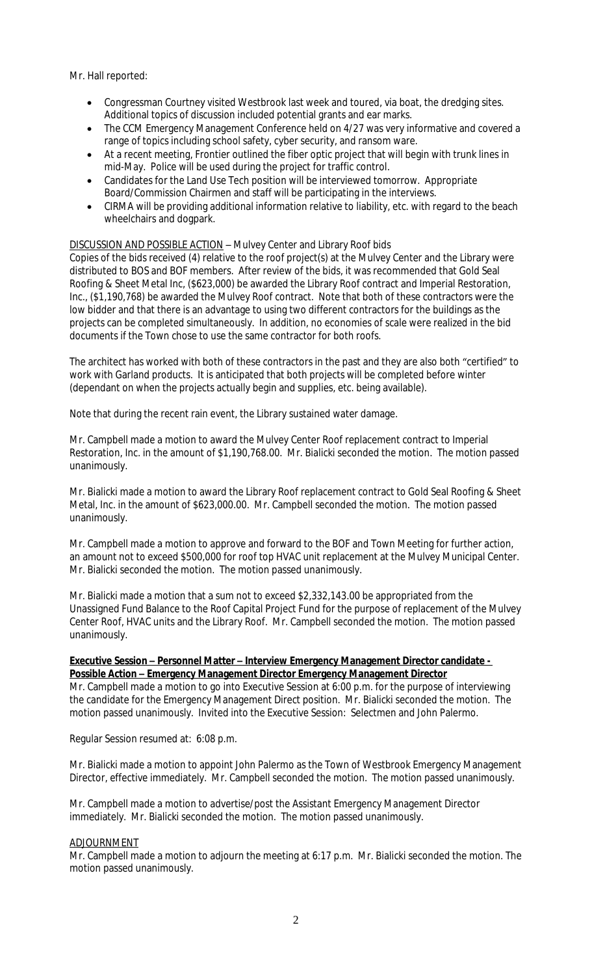Mr. Hall reported:

- Congressman Courtney visited Westbrook last week and toured, via boat, the dredging sites. Additional topics of discussion included potential grants and ear marks.
- The CCM Emergency Management Conference held on 4/27 was very informative and covered a range of topics including school safety, cyber security, and ransom ware.
- At a recent meeting, Frontier outlined the fiber optic project that will begin with trunk lines in mid-May. Police will be used during the project for traffic control.
- Candidates for the Land Use Tech position will be interviewed tomorrow. Appropriate Board/Commission Chairmen and staff will be participating in the interviews.
- CIRMA will be providing additional information relative to liability, etc. with regard to the beach wheelchairs and dogpark.

# DISCUSSION AND POSSIBLE ACTION – Mulvey Center and Library Roof bids

Copies of the bids received (4) relative to the roof project(s) at the Mulvey Center and the Library were distributed to BOS and BOF members. After review of the bids, it was recommended that Gold Seal Roofing & Sheet Metal Inc, (\$623,000) be awarded the Library Roof contract and Imperial Restoration, Inc., (\$1,190,768) be awarded the Mulvey Roof contract. Note that both of these contractors were the low bidder and that there is an advantage to using two different contractors for the buildings as the projects can be completed simultaneously. In addition, no economies of scale were realized in the bid documents if the Town chose to use the same contractor for both roofs.

The architect has worked with both of these contractors in the past and they are also both "certified" to work with Garland products. It is anticipated that both projects will be completed before winter (dependant on when the projects actually begin and supplies, etc. being available).

Note that during the recent rain event, the Library sustained water damage.

Mr. Campbell made a motion to award the Mulvey Center Roof replacement contract to Imperial Restoration, Inc. in the amount of \$1,190,768.00. Mr. Bialicki seconded the motion. The motion passed unanimously.

Mr. Bialicki made a motion to award the Library Roof replacement contract to Gold Seal Roofing & Sheet Metal, Inc. in the amount of \$623,000.00. Mr. Campbell seconded the motion. The motion passed unanimously.

Mr. Campbell made a motion to approve and forward to the BOF and Town Meeting for further action, an amount not to exceed \$500,000 for roof top HVAC unit replacement at the Mulvey Municipal Center. Mr. Bialicki seconded the motion. The motion passed unanimously.

Mr. Bialicki made a motion that a sum not to exceed \$2,332,143.00 be appropriated from the Unassigned Fund Balance to the Roof Capital Project Fund for the purpose of replacement of the Mulvey Center Roof, HVAC units and the Library Roof. Mr. Campbell seconded the motion. The motion passed unanimously.

## **Executive Session – Personnel Matter – Interview Emergency Management Director candidate - Possible Action – Emergency Management Director Emergency Management Director**

Mr. Campbell made a motion to go into Executive Session at 6:00 p.m. for the purpose of interviewing the candidate for the Emergency Management Direct position. Mr. Bialicki seconded the motion. The motion passed unanimously. Invited into the Executive Session: Selectmen and John Palermo.

Regular Session resumed at: 6:08 p.m.

Mr. Bialicki made a motion to appoint John Palermo as the Town of Westbrook Emergency Management Director, effective immediately. Mr. Campbell seconded the motion. The motion passed unanimously.

Mr. Campbell made a motion to advertise/post the Assistant Emergency Management Director immediately. Mr. Bialicki seconded the motion. The motion passed unanimously.

# ADJOURNMENT

Mr. Campbell made a motion to adjourn the meeting at 6:17 p.m. Mr. Bialicki seconded the motion. The motion passed unanimously.